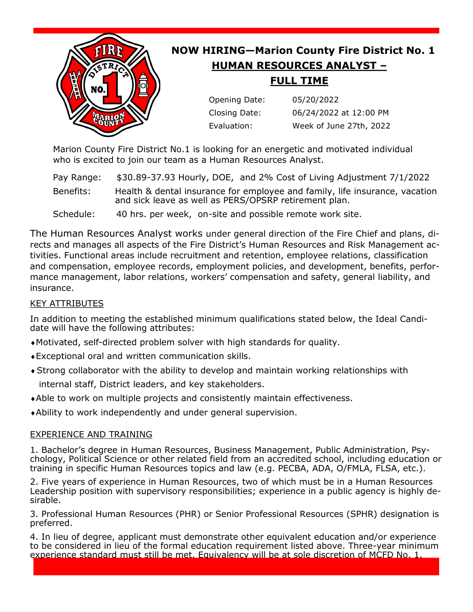

Marion County Fire District No.1 is looking for an energetic and motivated individual who is excited to join our team as a Human Resources Analyst.

Pay Range: \$30.89-37.93 Hourly, DOE, and 2% Cost of Living Adjustment 7/1/2022 Benefits: Health & dental insurance for employee and family, life insurance, vacation and sick leave as well as PERS/OPSRP retirement plan.

Schedule: 40 hrs. per week, on-site and possible remote work site.

The Human Resources Analyst works under general direction of the Fire Chief and plans, directs and manages all aspects of the Fire District's Human Resources and Risk Management activities. Functional areas include recruitment and retention, employee relations, classification and compensation, employee records, employment policies, and development, benefits, performance management, labor relations, workers' compensation and safety, general liability, and insurance.

# KEY ATTRIBUTES

In addition to meeting the established minimum qualifications stated below, the Ideal Candidate will have the following attributes:

- Motivated, self-directed problem solver with high standards for quality.
- Exceptional oral and written communication skills.
- Strong collaborator with the ability to develop and maintain working relationships with internal staff, District leaders, and key stakeholders.
- Able to work on multiple projects and consistently maintain effectiveness.
- Ability to work independently and under general supervision.

# EXPERIENCE AND TRAINING

1. Bachelor's degree in Human Resources, Business Management, Public Administration, Psychology, Political Science or other related field from an accredited school, including education or training in specific Human Resources topics and law (e.g. PECBA, ADA, O/FMLA, FLSA, etc.).

2. Five years of experience in Human Resources, two of which must be in a Human Resources Leadership position with supervisory responsibilities; experience in a public agency is highly desirable.

3. Professional Human Resources (PHR) or Senior Professional Resources (SPHR) designation is preferred.

4. In lieu of degree, applicant must demonstrate other equivalent education and/or experience to be considered in lieu of the formal education requirement listed above. Three-year minimum experience standard must still be met. Equivalency will be at sole discretion of MCFD No. 1.